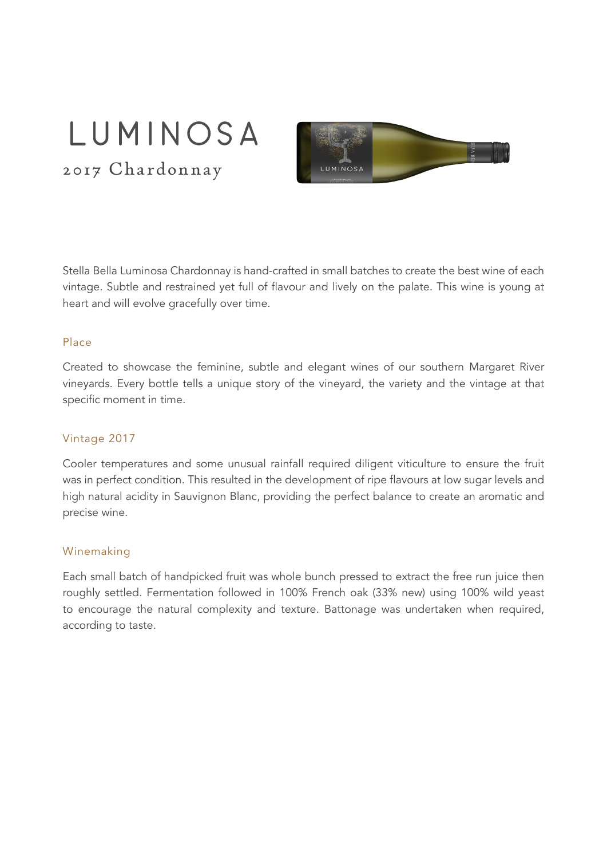# LUMINOSA

2017 Chardonnay



Stella Bella Luminosa Chardonnay is hand-crafted in small batches to create the best wine of each vintage. Subtle and restrained yet full of flavour and lively on the palate. This wine is young at heart and will evolve gracefully over time.

#### Place

Created to showcase the feminine, subtle and elegant wines of our southern Margaret River vineyards. Every bottle tells a unique story of the vineyard, the variety and the vintage at that specific moment in time.

#### Vintage 2017

Cooler temperatures and some unusual rainfall required diligent viticulture to ensure the fruit was in perfect condition. This resulted in the development of ripe flavours at low sugar levels and high natural acidity in Sauvignon Blanc, providing the perfect balance to create an aromatic and precise wine.

#### Winemaking

Each small batch of handpicked fruit was whole bunch pressed to extract the free run juice then roughly settled. Fermentation followed in 100% French oak (33% new) using 100% wild yeast to encourage the natural complexity and texture. Battonage was undertaken when required, according to taste.